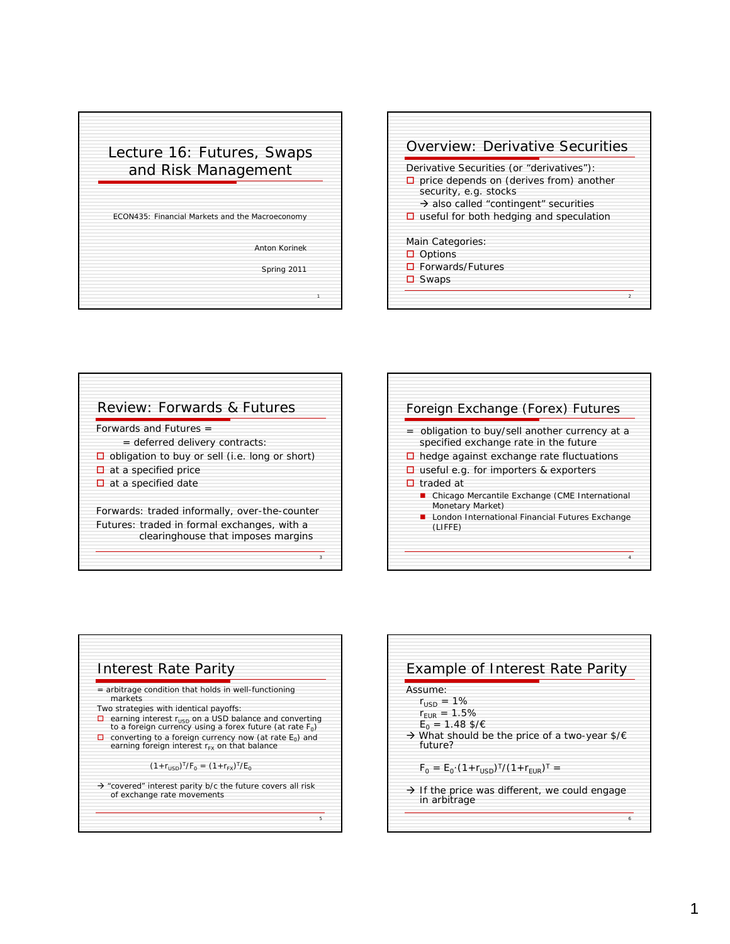## Lecture 16: Futures, Swaps and Risk Management ECON435: Financial Markets and the Macroeconomy

Anton Korinek

Spring 2011

1



|                                                       | Forwards and Futures $=$                      |  |  |  |  |
|-------------------------------------------------------|-----------------------------------------------|--|--|--|--|
|                                                       | = deferred delivery contracts:                |  |  |  |  |
| $\Box$ obligation to buy or sell (i.e. long or short) |                                               |  |  |  |  |
|                                                       | $\Box$ at a specified price                   |  |  |  |  |
|                                                       | $\Box$ at a specified date                    |  |  |  |  |
|                                                       | Forwards: traded informally, over-the-counter |  |  |  |  |
|                                                       | Futures: traded in formal exchanges, with a   |  |  |  |  |
|                                                       | clearinghouse that imposes margins            |  |  |  |  |

|   | Foreign Exchange (Forex) Futures                                                      |
|---|---------------------------------------------------------------------------------------|
|   | obligation to buy/sell another currency at a<br>specified exchange rate in the future |
| □ | hedge against exchange rate fluctuations                                              |
|   | $\Box$ useful e.g. for importers & exporters                                          |
|   | $\Box$ traded at                                                                      |
|   | Chicago Mercantile Exchange (CME International<br>Monetary Market)                    |
|   | London International Financial Futures Exchange<br>(LIFFE)                            |
|   |                                                                                       |



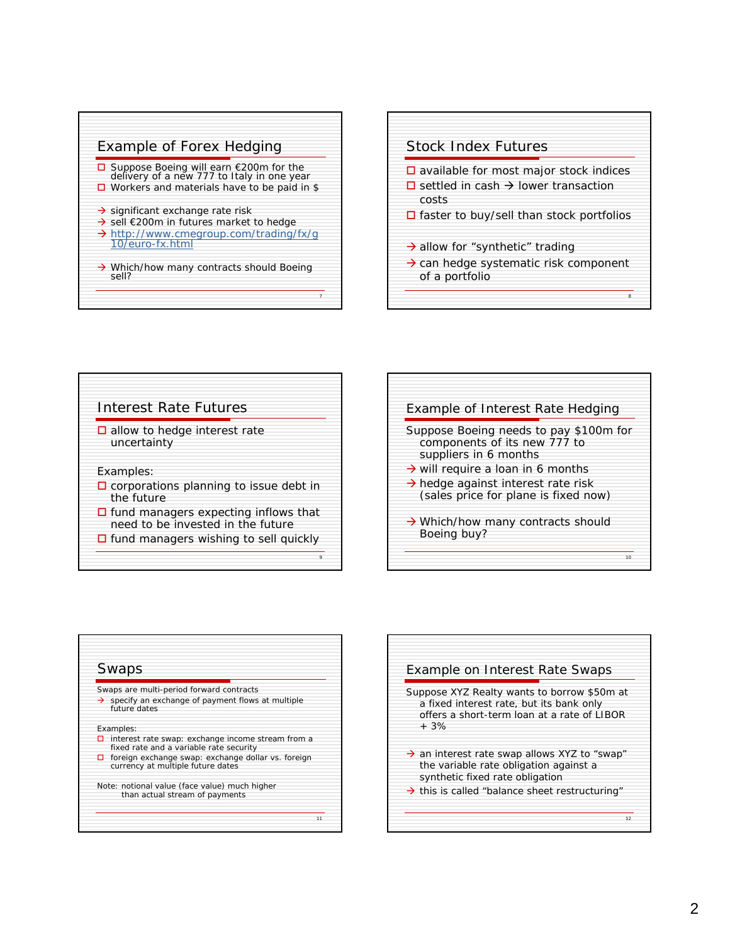

## Stock Index Futures

- $\square$  available for most major stock indices
- $\square$  settled in cash  $\rightarrow$  lower transaction costs
- $\square$  faster to buy/sell than stock portfolios
- $\rightarrow$  allow for "synthetic" trading
- $\rightarrow$  can hedge systematic risk component of a portfolio

8



| Example of Interest Rate Hedging                                                                                                                                                                                                           |
|--------------------------------------------------------------------------------------------------------------------------------------------------------------------------------------------------------------------------------------------|
| Suppose Boeing needs to pay \$100m for<br>components of its new 777 to<br>suppliers in 6 months<br>$\rightarrow$ will require a loan in 6 months<br>$\rightarrow$ hedge against interest rate risk<br>(sales price for plane is fixed now) |
| $\rightarrow$ Which/how many contracts should<br>Boeing buy?                                                                                                                                                                               |
| 10                                                                                                                                                                                                                                         |